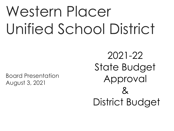# Western Placer Unified School District

Board Presentation August 3, 2021

2021-22 State Budget Approval  $\lambda$ District Budget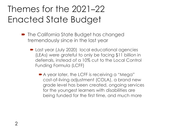# Themes for the 2021–22 Enacted State Budget

- **The California State Budget has changed** tremendously since in the last year
	- Last year (July 2020) local educational agencies (LEAs) were grateful to only be facing \$11 billion in deferrals, instead of a 10% cut to the Local Control Funding Formula (LCFF)
		- A year later, the LCFF is receiving a "Mega" cost-of-living adjustment (COLA), a brand new grade level has been created, ongoing services for the youngest learners with disabilities are being funded for the first time, and much more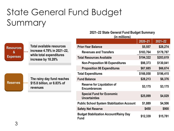#### State General Fund Budget Summary  $\overline{1}$

| <b>Resources</b><br>&<br><b>Expenses</b> |                                                                                                                  |                                                              | ZUZUTZ I  | ZUZ 1-ZZ  |
|------------------------------------------|------------------------------------------------------------------------------------------------------------------|--------------------------------------------------------------|-----------|-----------|
|                                          | <b>Total available resources</b><br>increase 4.78% in 2021–22,<br>while total expenditures<br>increase by 18.28% | <b>Prior-Year Balance</b>                                    | \$5,557   | \$28,274  |
|                                          |                                                                                                                  | <b>Revenues and Transfers</b>                                | \$183,764 | \$178,787 |
|                                          |                                                                                                                  | <b>Total Resources Available</b>                             | \$194,322 | \$203,619 |
|                                          |                                                                                                                  | <b>Non-Proposition 98 Expenditures</b>                       | \$98,373  | \$130,041 |
|                                          |                                                                                                                  | <b>Proposition 98 Expenditures</b>                           | \$67,685  | \$66,674  |
| <b>Reserves</b>                          | The rainy day fund reaches<br>\$15.8 billion, or 8.83% of<br><b>revenues</b>                                     | <b>Total Expenditures</b>                                    | \$166,058 | \$196,415 |
|                                          |                                                                                                                  | <b>Fund Balance</b>                                          | \$28,213  | \$6,376   |
|                                          |                                                                                                                  | <b>Reserve for Liquidation of</b><br><b>Encumbrances</b>     | \$3,175   | \$3,175   |
|                                          |                                                                                                                  | <b>Special Fund for Economic</b><br><b>Uncertainties</b>     | \$25,099  | \$4,029   |
|                                          |                                                                                                                  | <b>Public School System Stabilization Account</b>            | \$1,889   | \$4,506   |
|                                          |                                                                                                                  | <b>Safety Net Reserve</b>                                    | \$450     | \$900     |
|                                          |                                                                                                                  | <b>Budget Stabilization Account/Rainy Day</b><br><b>Fund</b> | \$12,339  | \$15,781  |

**2021–22 State General Fund Budget Summary (in millions)**

**2020–21 2021–22**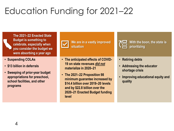# Education Funding for 2021–22

**The 2021–22 Enacted State Budget is something to celebrate, especially when you consider the budget we were absorbing a year ago**

- **Suspending COLAs**
- **\$13 billion in deferrals**
- **Sweeping of prior-year budget appropriations for preschool, school facilities, and other programs**



**We are in a vastly improved situation**

• **The anticipated effects of COVID-19 on state revenues** *did not* **materialize in 2020–21**

• **The 2021–22 Proposition 98 minimum guarantee increased by \$14.4 billion over 2019–20 levels and by \$22.8 billion over the 2020–21 Enacted Budget funding level**



**With the boon, the state is prioritizing**

#### • **Retiring debts**

- **Addressing the educator shortage crisis**
- **Improving educational equity and quality**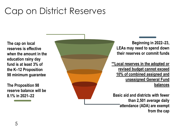### Cap on District Reserves

**The cap on local reserves is effective when the amount in the education rainy day fund is at least 3% of the K–12 Proposition 98 minimum guarantee** 

**The Proposition 98 reserve balance will be 8.1% in 2021–22**



**Beginning in 2022–23, LEAs may need to spend down their reserves or commit funds**

**\*\*Local reserves in the adopted or revised budget cannot exceed 10% of combined assigned and unassigned General Fund balances**

**Basic aid and districts with fewer than 2,501 average daily attendance (ADA) are exempt from the cap**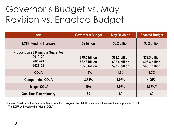# Governor's Budget vs. May Revision vs. Enacted Budget

| <b>Item</b>                                                                      | <b>Governor's Budget</b>                           | <b>May Revision</b>                                | <b>Enacted Budget</b>                              |
|----------------------------------------------------------------------------------|----------------------------------------------------|----------------------------------------------------|----------------------------------------------------|
| <b>LCFF Funding Increase</b>                                                     | \$2 billion                                        | \$3.2 billion                                      | \$3.2 billion                                      |
| <b>Proposition 98 Minimum Guarantee</b><br>2019-20<br>$2020 - 21$<br>$2021 - 22$ | \$79.5 billion<br>\$82.8 billion<br>\$85.8 billion | \$79.3 billion<br>\$92.8 billion<br>\$93.7 billion | \$79.3 billion<br>\$93.4 billion<br>\$93.7 billion |
| <b>COLA</b>                                                                      | 1.5%                                               | 1.7%                                               | 1.7%                                               |
| <b>Compounded COLA</b>                                                           | 3.84%                                              | 4.05%                                              | 4.05%*                                             |
| "Mega" COLA                                                                      | N/A                                                | 5.07%                                              | $5.07\%**$                                         |
| <b>One-Time Discretionary</b>                                                    | \$0                                                | \$0                                                | \$0                                                |

**\*General Child Care, the California State Preschool Program, and Adult Education will receive the compounded COLA \*\*The LCFF will receive the "Mega" COLA**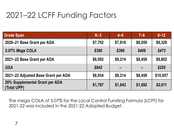### 2021–22 LCFF Funding Factors <sup>7</sup>

| <b>Grade Span</b>                             | $K-3$   | $4 - 6$ | $7 - 8$ | $9 - 12$ |
|-----------------------------------------------|---------|---------|---------|----------|
| 2020-21 Base Grant per ADA                    | \$7,702 | \$7,818 | \$8,050 | \$9,329  |
| 5.07% Mega COLA                               | \$390   | \$396   | \$408   | \$473    |
| 2021-22 Base Grant per ADA                    | \$8,092 | \$8,214 | \$8,458 | \$9,802  |
| <b>GSA</b>                                    | \$842   |         |         | \$255    |
| 2021–22 Adjusted Base Grant per ADA           | \$8,934 | \$8,214 | \$8,458 | \$10,057 |
| 20% Supplemental Grant per ADA<br>(Total UPP) | \$1,787 | \$1,643 | \$1,692 | \$2,011  |

The mega COLA of 5.07% for the Local Control Funding Formula (LCFF) for 2021-22 was included in the 2021-22 Adopted Budget.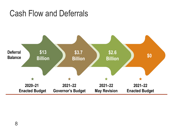### Cash Flow and Deferrals

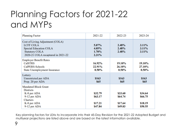# Planning Factors for 2021-22 and MYPs

| <b>Planning Factor</b>                                                                                                                               | 2021-22                                  | 2022-23                                  | 2023-24                                  |
|------------------------------------------------------------------------------------------------------------------------------------------------------|------------------------------------------|------------------------------------------|------------------------------------------|
| Cost of Living Adjustment (COLA)<br><b>LCFF COLA</b><br><b>Special Education COLA</b><br><b>Statutory COLA</b><br>2020-21 COLA recaptured in 2021-22 | $5.07\%$<br>4.05%<br>1.70%<br>2.31%      | 2.48%<br>2.48%<br>2.48%                  | 3.11%<br>3.11%<br>3.11%                  |
| <b>Employer Benefit Rates</b><br><b>CalSTRS</b><br>CalPERS-Schools<br><b>State Unemployment Insurance</b>                                            | 16.92%<br>22.91%<br>$0.50\%$             | 19.10%<br>26.10%<br>$0.50\%$             | <b>19.10%</b><br>27.10%<br>$0.50\%$      |
| Lottery<br>Unrestricted per ADA<br>Prop. 20 per ADA                                                                                                  | \$163<br>\$65                            | \$163<br>\$65                            | \$163<br><b>S65</b>                      |
| <b>Mandated Block Grant</b><br><b>Districts</b><br>K-8 per ADA<br>9-12 per ADA<br><b>Charters</b><br>K-8 per ADA<br>9-12 per ADA                     | \$32.79<br>\$63.17<br>\$17.21<br>\$47.84 | \$33.60<br>\$64.74<br>\$17.64<br>\$49.03 | \$34.64<br>\$66.75<br>\$18.19<br>\$50.55 |

Key planning factors for LEAs to incorporate into their 45-Day Revision for the 2021-22 Adopted Budget and multiyear projections are listed above and are based on the latest information available.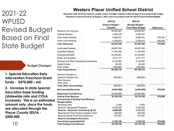#### 2021-22 WPUSD Revised Budget Based on Final State Budget

**Budget Changes:**

**1. Special Education Early Intervention Preschool Grant funds - \$470,000 – est.**

**2. Increase in state Special Education base funding (statewide rate and COLA increase). This is an estimated amount only, since the funds are allocated through the Placer County SELPA - \$500,000**

10

#### **Western Placer Unified School District**

 **Education Code 42127(h) requires a public review of budget revisions within 45 days of an enacted state budget Revisions to General Fund as of August 3, 2021 and in accordance with the 2021/22 Enacted State Budget**

|                                           | 2021/22                             | 2021/22                                              |                   |
|-------------------------------------------|-------------------------------------|------------------------------------------------------|-------------------|
|                                           | <b>Original Budget -</b><br>Adopted | <b>Revised Budget -</b><br><b>Final State Budget</b> | <b>Difference</b> |
| Revenue Limit Sources                     | 68,930,597                          | 68,930,597                                           |                   |
| <b>Federal Revenue</b>                    | 2,450,016                           | 2,450,016                                            |                   |
| <b>Other State Revenue</b>                | 6,395,761                           | 6,865,761                                            | 470,000           |
| <b>Other Local Revenue</b>                | 4,756,812                           | 5,256,812                                            | 500,000           |
| <b>Total Revenues</b>                     | 82,533,186                          | 83,503,186                                           | 970,000           |
| <b>Certificated Salaries</b>              | 36,857,354                          | 36,857,354                                           |                   |
| <b>Classified Salaries</b>                | 11,354,552                          | 11,354,552                                           |                   |
| <b>Employee Benefits</b>                  | 23,350,681                          | 23,350,681                                           |                   |
| <b>Books and Supplies</b>                 | 5,071,777                           | 5,071,777                                            |                   |
| Services and Other Operating Expenditures | 8,132,882                           | 8,132,882                                            |                   |
| Capital Outlay                            | 60,000                              | 60,000                                               |                   |
| Other Outgo                               | 1,900,864                           | 1,900,864                                            |                   |
| <b>Total Expenditures</b>                 | 86,728,110                          | 86,728,110                                           |                   |
| Interfund Transfers In                    |                                     |                                                      |                   |
| <b>Interfund Transfers Out</b>            | (256, 881)                          | (256, 881)                                           |                   |
| <b>Other Sources</b>                      |                                     |                                                      |                   |
| <b>Other Uses</b>                         |                                     |                                                      |                   |
| <b>Total Other Sources/Uses</b>           | (256, 881)                          | (256, 881)                                           |                   |
| <b>Net Increase/Decrease</b>              | (4, 451, 805)                       | (3,481,805)                                          | 970,000           |
| <b>Beginning Fund Balance</b>             | 22,600,960                          | 22,600,960                                           |                   |
| <b>Ending Fund Balance</b>                | 18, 149, 155                        | 19,119,155                                           | 970,000           |
| <b>Components of Ending Fund Balance</b>  |                                     |                                                      |                   |
| Nonspendable:                             |                                     |                                                      |                   |
| Revolving Cash                            | 5,000                               | 5,000                                                |                   |
| Reserve - Designated Programs             | 8,726,382                           | 8,726,382                                            |                   |
| Reserve - Economic Uncertainty @ 3%       | 2,609,550                           | 2,609,550                                            |                   |
| Reserve-One-Time Science Adoption 20/21   | 400,000                             | 400,000                                              |                   |
| Reserve-Charter Technical Assistance      | 257,487                             | 257,487                                              |                   |
| Reserve-Unassigned Economic               |                                     |                                                      |                   |
| Uncertainty surplus/(deficit)             | 6,150,736                           | 7,120,736                                            | 970,000           |
| <b>Total Ending Fund Balance</b>          | 18, 149, 155                        | 19,119,155                                           | 970,000           |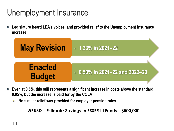# Unemployment Insurance

**Legislature heard LEA's voices, and provided relief to the Unemployment Insurance increase**



- **Even at 0.5%, this still represents a significant increase in costs above the standard 0.05%, but the increase is paid for by the COLA**
	- **No similar relief was provided for employer pension rates**  $\bullet$

**WPUSD – Estimate Savings In ESSER III Funds - \$500,000**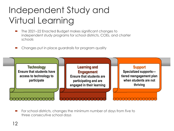# Independent Study and Virtual Learning

- The 2021–22 Enacted Budget makes significant changes to independent study programs for school districts, COEs, and charter schools
- Changes put in place guardrails for program quality



 For school districts, changes the minimum number of days from five to three consecutive school days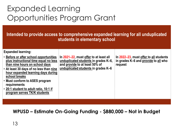### Expanded Learning Opportunities Program Grant

**Intended to provide access to comprehensive expanded learning for all unduplicated students in elementary school**

| <b>Expanded learning:</b>                                                                                                                                                                                                                                                                                                                       |                                                                                                                                                         |                                                                                           |
|-------------------------------------------------------------------------------------------------------------------------------------------------------------------------------------------------------------------------------------------------------------------------------------------------------------------------------------------------|---------------------------------------------------------------------------------------------------------------------------------------------------------|-------------------------------------------------------------------------------------------|
| • Before or after school opportunities<br>plus instructional time equal no less<br>than nine hours on school days<br>• At least 30 days of no less than nine<br>hour expanded learning days during<br>school breaks<br>. Must conform to ASES program<br>requirements<br>• 20:1 student to adult ratio, 10:1 if<br>program serves TK/K students | In 2021–22, must offer to at least all<br>unduplicated students in grades K-6,<br>and provide to at least 50% of<br>unduplicated students in grades K-6 | In 2022–23, must offer to all students<br>in grades K-6 and provide to all who<br>request |
|                                                                                                                                                                                                                                                                                                                                                 |                                                                                                                                                         |                                                                                           |

**WPUSD – Estimate On-Going Funding - \$880,000 – Not in Budget**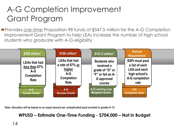### A-G Completion Improvement Grant Program

Provides *one-time* Proposition 98 funds of \$547.5 million for the A-G Completion Improvement Grant Program to help LEAs increase the number of high school students who graduate with A-G eligibility



**Note: allocation will be based on an equal amount per unduplicated pupil enrolled in grades 9–12**

California Inc. **WPUSD – Estimate One-Time Funding - \$704,000 – Not in Budget**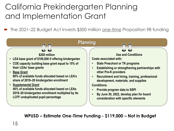### California Prekindergarten Planning and Implementation Grant

The 2021-22 Budget Act invests \$300 million one-time Proposition 98 funding



**WPUSD – Estimate One-Time Funding - \$119,000 – Not in Budget**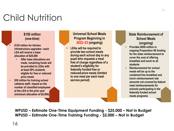# Child Nutrition

#### **\$150 million (one-time)**

- **\$120 million for kitchen infrastructure upgrades—each LEA will receive a base allocation of \$25,000**
	- **After base allocations are made, remaining funds will be provided to LEAs with at least 50% students eligible for free or reducedprice meals**
- **\$30 million for training school cafeteria staff—based on the number of classified employees at the LEA in the prior year (minimum allocation of \$2,000)**

#### **Universal School Meals Program Beginning in 2022–23 (ongoing)**

• **LEAs will be required to provide two school meals during each school day to any pupil who requests a meal free of charge regardless of a student's eligibility for federally funded free or reduced-price meals (limited to one meal per each meal service period)**

#### **State Reimbursement of School Meals (ongoing)**

- **Provides \$650 million in ongoing Proposition 98 funding for the state reimbursement to cover the cost of offering breakfast and lunch to all students**
- **Reimbursement for school meals will be up to the combined free breakfast and lunch reimbursement rate amounts not covered by federal meal reimbursements for schools participating in the federally funded school meals programs**

**WPUSD – Estimate One-Time Equipment Funding - \$25,000 – Not in Budget WPUSD – Estimate One-Time Training Funding - \$2,000 – Not in Budget**